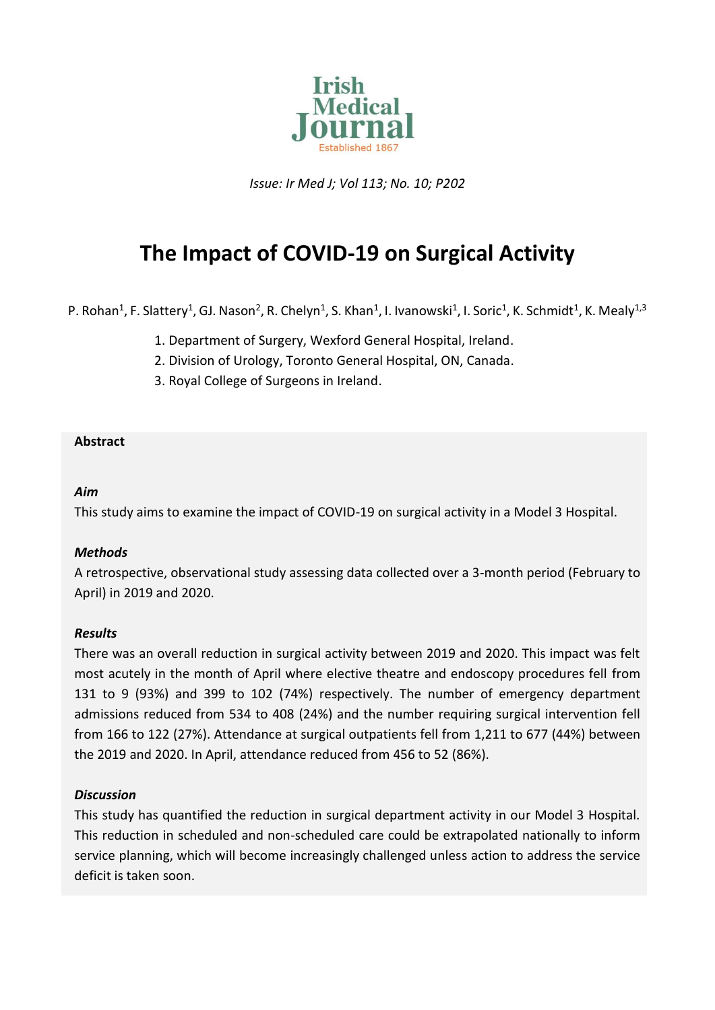

*Issue: Ir Med J; Vol 113; No. 10; P202*

# **The Impact of COVID-19 on Surgical Activity**

P. Rohan<sup>1</sup>, F. Slattery<sup>1</sup>, GJ. Nason<sup>2</sup>, R. Chelyn<sup>1</sup>, S. Khan<sup>1</sup>, I. Ivanowski<sup>1</sup>, I. Soric<sup>1</sup>, K. Schmidt<sup>1</sup>, K. Mealy<sup>1,3</sup>

- 1. Department of Surgery, Wexford General Hospital, Ireland.
- 2. Division of Urology, Toronto General Hospital, ON, Canada.
- 3. Royal College of Surgeons in Ireland.

## **Abstract**

#### *Aim*

This study aims to examine the impact of COVID-19 on surgical activity in a Model 3 Hospital.

#### *Methods*

A retrospective, observational study assessing data collected over a 3-month period (February to April) in 2019 and 2020.

#### *Results*

There was an overall reduction in surgical activity between 2019 and 2020. This impact was felt most acutely in the month of April where elective theatre and endoscopy procedures fell from 131 to 9 (93%) and 399 to 102 (74%) respectively. The number of emergency department admissions reduced from 534 to 408 (24%) and the number requiring surgical intervention fell from 166 to 122 (27%). Attendance at surgical outpatients fell from 1,211 to 677 (44%) between the 2019 and 2020. In April, attendance reduced from 456 to 52 (86%).

#### *Discussion*

This study has quantified the reduction in surgical department activity in our Model 3 Hospital. This reduction in scheduled and non-scheduled care could be extrapolated nationally to inform service planning, which will become increasingly challenged unless action to address the service deficit is taken soon.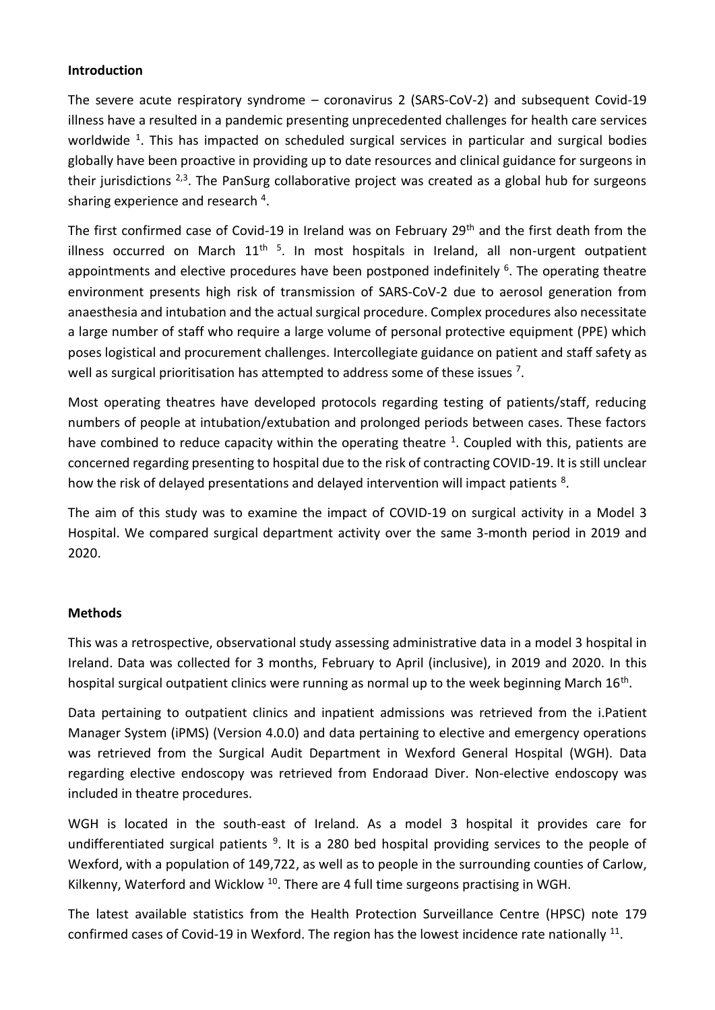## **Introduction**

The severe acute respiratory syndrome – coronavirus 2 (SARS-CoV-2) and subsequent Covid-19 illness have a resulted in a pandemic presenting unprecedented challenges for health care services worldwide <sup>1</sup>. This has impacted on scheduled surgical services in particular and surgical bodies globally have been proactive in providing up to date resources and clinical guidance for surgeons in their jurisdictions  $2,3$ . The PanSurg collaborative project was created as a global hub for surgeons sharing experience and research<sup>4</sup>.

The first confirmed case of Covid-19 in Ireland was on February 29<sup>th</sup> and the first death from the illness occurred on March 11<sup>th 5</sup>. In most hospitals in Ireland, all non-urgent outpatient appointments and elective procedures have been postponed indefinitely <sup>6</sup>. The operating theatre environment presents high risk of transmission of SARS-CoV-2 due to aerosol generation from anaesthesia and intubation and the actual surgical procedure. Complex procedures also necessitate a large number of staff who require a large volume of personal protective equipment (PPE) which poses logistical and procurement challenges. Intercollegiate guidance on patient and staff safety as well as surgical prioritisation has attempted to address some of these issues  $^7$ .

Most operating theatres have developed protocols regarding testing of patients/staff, reducing numbers of people at intubation/extubation and prolonged periods between cases. These factors have combined to reduce capacity within the operating theatre  $1$ . Coupled with this, patients are concerned regarding presenting to hospital due to the risk of contracting COVID-19. It is still unclear how the risk of delayed presentations and delayed intervention will impact patients <sup>8</sup>.

The aim of this study was to examine the impact of COVID-19 on surgical activity in a Model 3 Hospital. We compared surgical department activity over the same 3-month period in 2019 and 2020.

# **Methods**

This was a retrospective, observational study assessing administrative data in a model 3 hospital in Ireland. Data was collected for 3 months, February to April (inclusive), in 2019 and 2020. In this hospital surgical outpatient clinics were running as normal up to the week beginning March 16<sup>th</sup>.

Data pertaining to outpatient clinics and inpatient admissions was retrieved from the i.Patient Manager System (iPMS) (Version 4.0.0) and data pertaining to elective and emergency operations was retrieved from the Surgical Audit Department in Wexford General Hospital (WGH). Data regarding elective endoscopy was retrieved from Endoraad Diver. Non-elective endoscopy was included in theatre procedures.

WGH is located in the south-east of Ireland. As a model 3 hospital it provides care for undifferentiated surgical patients<sup>9</sup>. It is a 280 bed hospital providing services to the people of Wexford, with a population of 149,722, as well as to people in the surrounding counties of Carlow, Kilkenny, Waterford and Wicklow  $^{10}$ . There are 4 full time surgeons practising in WGH.

The latest available statistics from the Health Protection Surveillance Centre (HPSC) note 179 confirmed cases of Covid-19 in Wexford. The region has the lowest incidence rate nationally  $^{11}$ .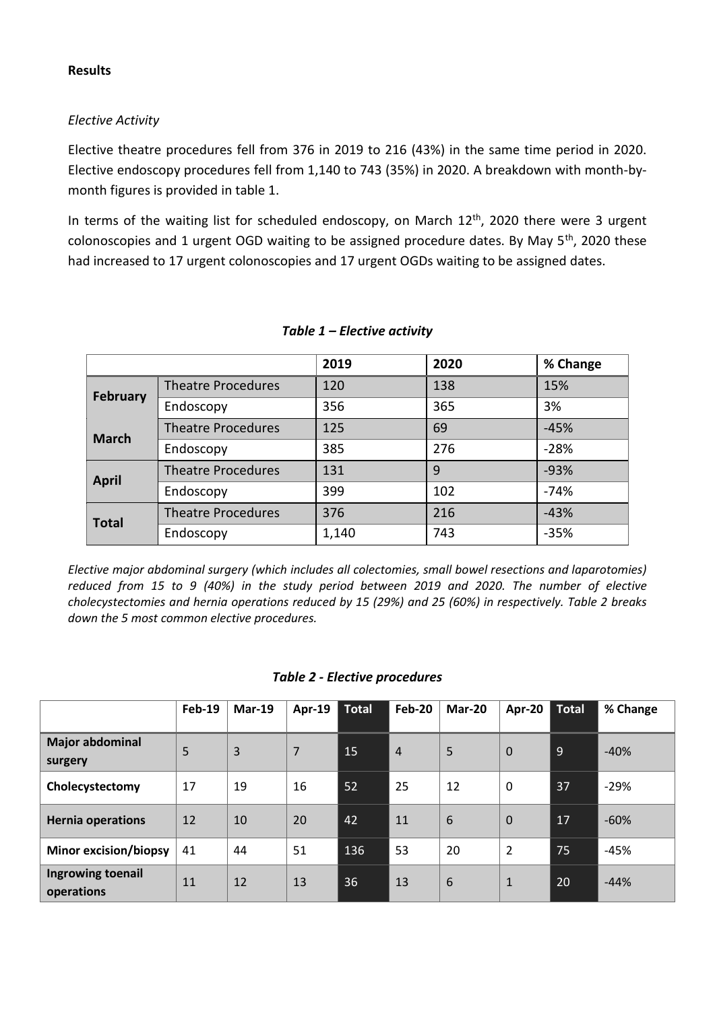#### **Results**

## *Elective Activity*

Elective theatre procedures fell from 376 in 2019 to 216 (43%) in the same time period in 2020. Elective endoscopy procedures fell from 1,140 to 743 (35%) in 2020. A breakdown with month-bymonth figures is provided in table 1.

In terms of the waiting list for scheduled endoscopy, on March  $12<sup>th</sup>$ , 2020 there were 3 urgent colonoscopies and 1 urgent OGD waiting to be assigned procedure dates. By May 5<sup>th</sup>, 2020 these had increased to 17 urgent colonoscopies and 17 urgent OGDs waiting to be assigned dates.

|                 |                           | 2019  | 2020 | % Change |  |
|-----------------|---------------------------|-------|------|----------|--|
| <b>February</b> | <b>Theatre Procedures</b> | 120   | 138  | 15%      |  |
|                 | Endoscopy                 | 356   | 365  | 3%       |  |
| <b>March</b>    | <b>Theatre Procedures</b> | 125   | 69   | $-45%$   |  |
|                 | Endoscopy                 | 385   | 276  | $-28%$   |  |
| <b>April</b>    | <b>Theatre Procedures</b> | 131   | 9    | $-93%$   |  |
|                 | Endoscopy                 | 399   | 102  | $-74%$   |  |
| <b>Total</b>    | <b>Theatre Procedures</b> | 376   | 216  | $-43%$   |  |
|                 | Endoscopy                 | 1,140 | 743  | $-35%$   |  |

#### *Table 1 – Elective activity*

*Elective major abdominal surgery (which includes all colectomies, small bowel resections and laparotomies) reduced from 15 to 9 (40%) in the study period between 2019 and 2020. The number of elective cholecystectomies and hernia operations reduced by 15 (29%) and 25 (60%) in respectively. Table 2 breaks down the 5 most common elective procedures.*

#### *Table 2 - Elective procedures*

|                                   | $Feb-19$ | $Mar-19$       | <b>Apr-19</b> | <b>Total</b> | Feb-20         | Mar-20          | Apr-20         | <b>Total</b> | % Change |
|-----------------------------------|----------|----------------|---------------|--------------|----------------|-----------------|----------------|--------------|----------|
| <b>Major abdominal</b><br>surgery | 5        | $\overline{3}$ | 7             | 15           | $\overline{4}$ | 5               | $\mathbf 0$    | 9            | $-40%$   |
| Cholecystectomy                   | 17       | 19             | 16            | 52           | 25             | 12              | 0              | 37           | $-29%$   |
| <b>Hernia operations</b>          | 12       | 10             | 20            | 42           | 11             | $6\phantom{1}6$ | $\mathbf 0$    | 17           | $-60%$   |
| <b>Minor excision/biopsy</b>      | 41       | 44             | 51            | 136          | 53             | 20              | $\overline{2}$ | 75           | $-45%$   |
| Ingrowing toenail<br>operations   | 11       | 12             | 13            | 36           | 13             | $6\phantom{1}6$ | $\mathbf{1}$   | 20           | $-44%$   |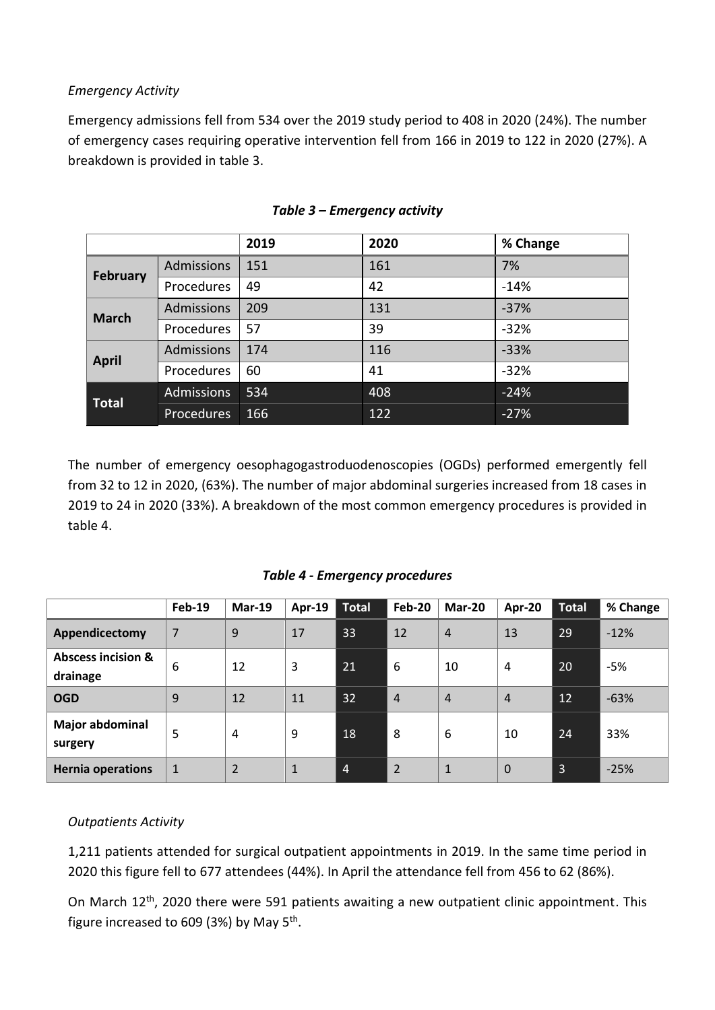# *Emergency Activity*

Emergency admissions fell from 534 over the 2019 study period to 408 in 2020 (24%). The number of emergency cases requiring operative intervention fell from 166 in 2019 to 122 in 2020 (27%). A breakdown is provided in table 3.

|                 |                   | 2019 | 2020 | % Change |
|-----------------|-------------------|------|------|----------|
| <b>February</b> | Admissions        | 151  | 161  | 7%       |
|                 | Procedures        | 49   | 42   | $-14%$   |
| <b>March</b>    | <b>Admissions</b> | 209  | 131  | $-37%$   |
|                 | Procedures        | 57   | 39   | $-32%$   |
| <b>April</b>    | Admissions        | 174  | 116  | $-33%$   |
|                 | Procedures        | 60   | 41   | $-32%$   |
| <b>Total</b>    | <b>Admissions</b> | 534  | 408  | $-24%$   |
|                 | <b>Procedures</b> | 166  | 122  | $-27%$   |

#### *Table 3 – Emergency activity*

The number of emergency oesophagogastroduodenoscopies (OGDs) performed emergently fell from 32 to 12 in 2020, (63%). The number of major abdominal surgeries increased from 18 cases in 2019 to 24 in 2020 (33%). A breakdown of the most common emergency procedures is provided in table 4.

*Table 4 - Emergency procedures*

|                                           | <b>Feb-19</b> | $Mar-19$       | Apr-19       | <b>Total</b>   | <b>Feb-20</b>  | Mar-20       | Apr-20         | <b>Total</b>   | % Change |
|-------------------------------------------|---------------|----------------|--------------|----------------|----------------|--------------|----------------|----------------|----------|
| Appendicectomy                            | 7             | 9              | 17           | 33             | 12             | 4            | 13             | 29             | $-12%$   |
| <b>Abscess incision &amp;</b><br>drainage | 6             | 12             | 3            | 21             | 6              | 10           | 4              | 20             | $-5%$    |
| <b>OGD</b>                                | 9             | 12             | 11           | 32             | $\overline{4}$ | 4            | 4              | 12             | $-63%$   |
| <b>Major abdominal</b><br>surgery         | 5             | 4              | 9            | 18             | 8              | 6            | 10             | 24             | 33%      |
| <b>Hernia operations</b>                  | $\mathbf{1}$  | $\overline{2}$ | $\mathbf{1}$ | $\overline{4}$ | $\overline{2}$ | $\mathbf{1}$ | $\overline{0}$ | $\overline{3}$ | $-25%$   |

# *Outpatients Activity*

1,211 patients attended for surgical outpatient appointments in 2019. In the same time period in 2020 this figure fell to 677 attendees (44%). In April the attendance fell from 456 to 62 (86%).

On March 12<sup>th</sup>, 2020 there were 591 patients awaiting a new outpatient clinic appointment. This figure increased to 609 (3%) by May 5<sup>th</sup>.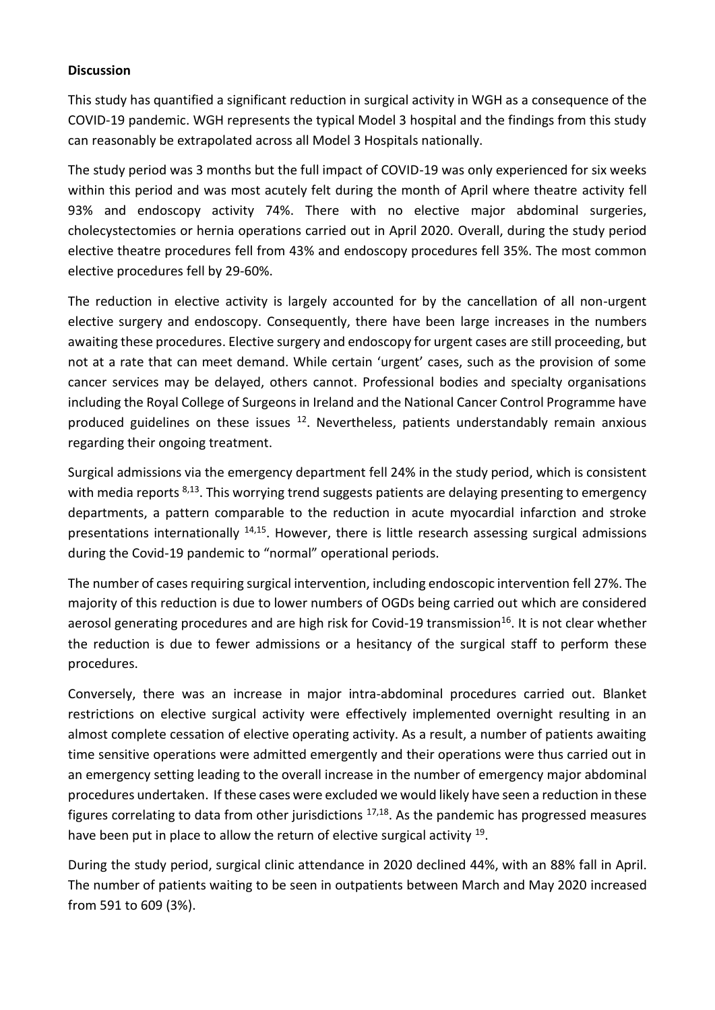#### **Discussion**

This study has quantified a significant reduction in surgical activity in WGH as a consequence of the COVID-19 pandemic. WGH represents the typical Model 3 hospital and the findings from this study can reasonably be extrapolated across all Model 3 Hospitals nationally.

The study period was 3 months but the full impact of COVID-19 was only experienced for six weeks within this period and was most acutely felt during the month of April where theatre activity fell 93% and endoscopy activity 74%. There with no elective major abdominal surgeries, cholecystectomies or hernia operations carried out in April 2020. Overall, during the study period elective theatre procedures fell from 43% and endoscopy procedures fell 35%. The most common elective procedures fell by 29-60%.

The reduction in elective activity is largely accounted for by the cancellation of all non-urgent elective surgery and endoscopy. Consequently, there have been large increases in the numbers awaiting these procedures. Elective surgery and endoscopy for urgent cases are still proceeding, but not at a rate that can meet demand. While certain 'urgent' cases, such as the provision of some cancer services may be delayed, others cannot. Professional bodies and specialty organisations including the Royal College of Surgeons in Ireland and the National Cancer Control Programme have produced guidelines on these issues  $12$ . Nevertheless, patients understandably remain anxious regarding their ongoing treatment.

Surgical admissions via the emergency department fell 24% in the study period, which is consistent with media reports  $8,13$ . This worrying trend suggests patients are delaying presenting to emergency departments, a pattern comparable to the reduction in acute myocardial infarction and stroke presentations internationally <sup>14,15</sup>. However, there is little research assessing surgical admissions during the Covid-19 pandemic to "normal" operational periods.

The number of cases requiring surgical intervention, including endoscopic intervention fell 27%. The majority of this reduction is due to lower numbers of OGDs being carried out which are considered aerosol generating procedures and are high risk for Covid-19 transmission<sup>16</sup>. It is not clear whether the reduction is due to fewer admissions or a hesitancy of the surgical staff to perform these procedures.

Conversely, there was an increase in major intra-abdominal procedures carried out. Blanket restrictions on elective surgical activity were effectively implemented overnight resulting in an almost complete cessation of elective operating activity. As a result, a number of patients awaiting time sensitive operations were admitted emergently and their operations were thus carried out in an emergency setting leading to the overall increase in the number of emergency major abdominal procedures undertaken. If these cases were excluded we would likely have seen a reduction in these figures correlating to data from other jurisdictions <sup>17,18</sup>. As the pandemic has progressed measures have been put in place to allow the return of elective surgical activity <sup>19</sup>.

During the study period, surgical clinic attendance in 2020 declined 44%, with an 88% fall in April. The number of patients waiting to be seen in outpatients between March and May 2020 increased from 591 to 609 (3%).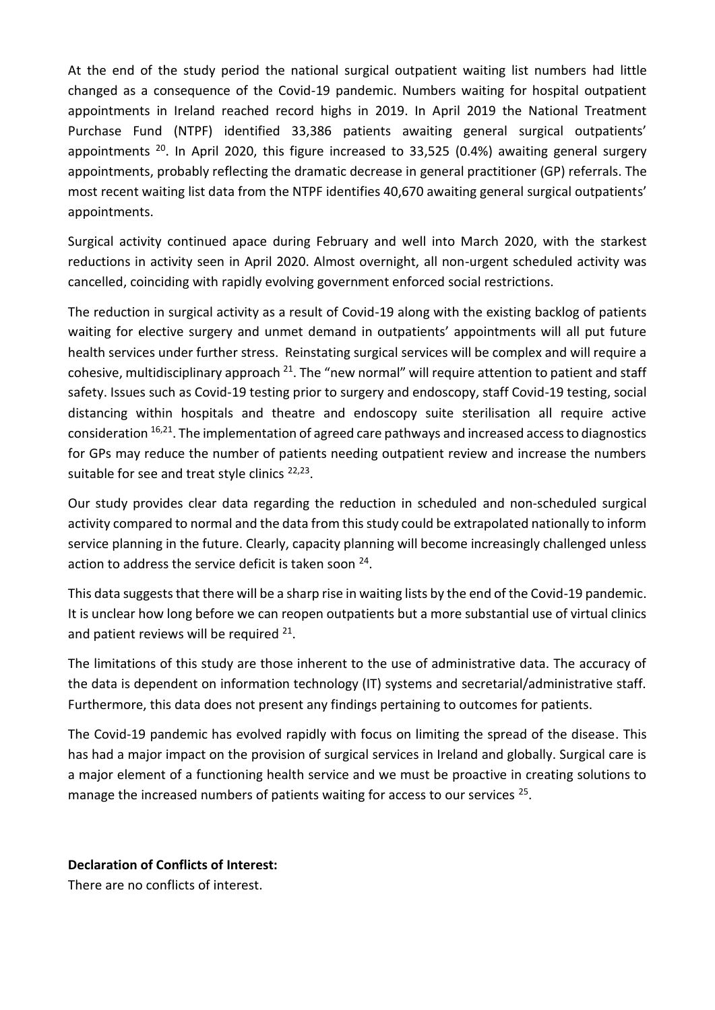At the end of the study period the national surgical outpatient waiting list numbers had little changed as a consequence of the Covid-19 pandemic. Numbers waiting for hospital outpatient appointments in Ireland reached record highs in 2019. In April 2019 the National Treatment Purchase Fund (NTPF) identified 33,386 patients awaiting general surgical outpatients' appointments  $20$ . In April 2020, this figure increased to 33,525 (0.4%) awaiting general surgery appointments, probably reflecting the dramatic decrease in general practitioner (GP) referrals. The most recent waiting list data from the NTPF identifies 40,670 awaiting general surgical outpatients' appointments.

Surgical activity continued apace during February and well into March 2020, with the starkest reductions in activity seen in April 2020. Almost overnight, all non-urgent scheduled activity was cancelled, coinciding with rapidly evolving government enforced social restrictions.

The reduction in surgical activity as a result of Covid-19 along with the existing backlog of patients waiting for elective surgery and unmet demand in outpatients' appointments will all put future health services under further stress. Reinstating surgical services will be complex and will require a cohesive, multidisciplinary approach  $^{21}$ . The "new normal" will require attention to patient and staff safety. Issues such as Covid-19 testing prior to surgery and endoscopy, staff Covid-19 testing, social distancing within hospitals and theatre and endoscopy suite sterilisation all require active consideration <sup>16,21</sup>. The implementation of agreed care pathways and increased access to diagnostics for GPs may reduce the number of patients needing outpatient review and increase the numbers suitable for see and treat style clinics <sup>22,23</sup>.

Our study provides clear data regarding the reduction in scheduled and non-scheduled surgical activity compared to normal and the data from this study could be extrapolated nationally to inform service planning in the future. Clearly, capacity planning will become increasingly challenged unless action to address the service deficit is taken soon <sup>24</sup>.

This data suggests that there will be a sharp rise in waiting lists by the end of the Covid-19 pandemic. It is unclear how long before we can reopen outpatients but a more substantial use of virtual clinics and patient reviews will be required  $21$ .

The limitations of this study are those inherent to the use of administrative data. The accuracy of the data is dependent on information technology (IT) systems and secretarial/administrative staff. Furthermore, this data does not present any findings pertaining to outcomes for patients.

The Covid-19 pandemic has evolved rapidly with focus on limiting the spread of the disease. This has had a major impact on the provision of surgical services in Ireland and globally. Surgical care is a major element of a functioning health service and we must be proactive in creating solutions to manage the increased numbers of patients waiting for access to our services<sup>25</sup>.

#### **Declaration of Conflicts of Interest:**

There are no conflicts of interest.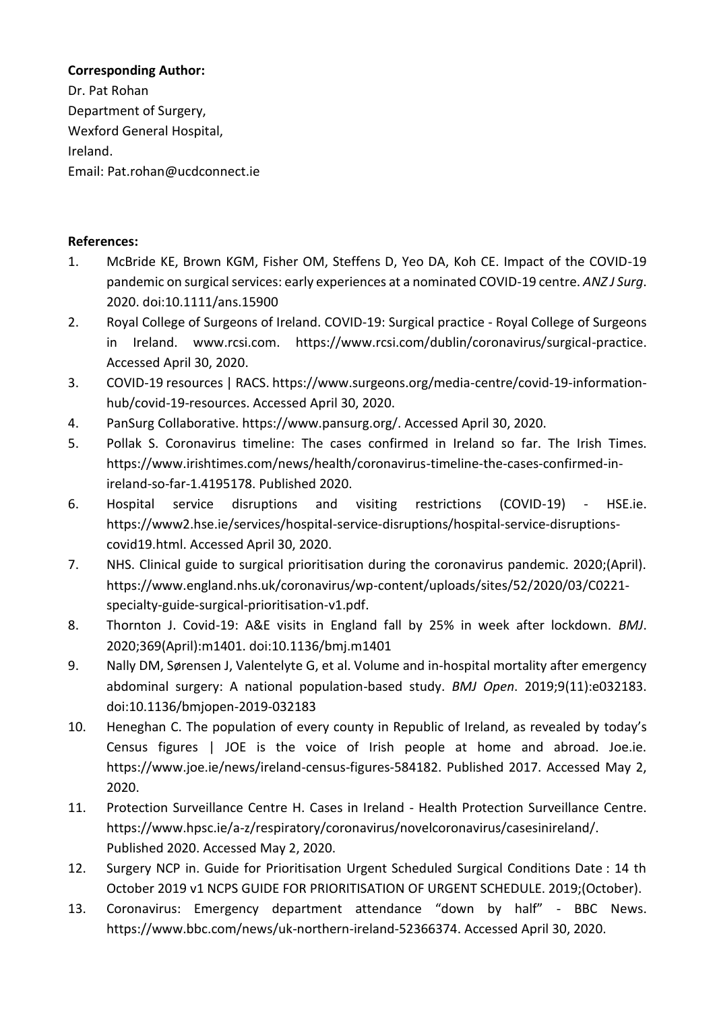# **Corresponding Author:**

Dr. Pat Rohan Department of Surgery, Wexford General Hospital, Ireland. Email: Pat.rohan@ucdconnect.ie

# **References:**

- 1. McBride KE, Brown KGM, Fisher OM, Steffens D, Yeo DA, Koh CE. Impact of the COVID-19 pandemic on surgical services: early experiences at a nominated COVID-19 centre. *ANZ J Surg*. 2020. doi:10.1111/ans.15900
- 2. Royal College of Surgeons of Ireland. COVID-19: Surgical practice Royal College of Surgeons in Ireland. www.rcsi.com. https://www.rcsi.com/dublin/coronavirus/surgical-practice. Accessed April 30, 2020.
- 3. COVID-19 resources | RACS. https://www.surgeons.org/media-centre/covid-19-informationhub/covid-19-resources. Accessed April 30, 2020.
- 4. PanSurg Collaborative. https://www.pansurg.org/. Accessed April 30, 2020.
- 5. Pollak S. Coronavirus timeline: The cases confirmed in Ireland so far. The Irish Times. https://www.irishtimes.com/news/health/coronavirus-timeline-the-cases-confirmed-inireland-so-far-1.4195178. Published 2020.
- 6. Hospital service disruptions and visiting restrictions (COVID-19) HSE.ie. https://www2.hse.ie/services/hospital-service-disruptions/hospital-service-disruptionscovid19.html. Accessed April 30, 2020.
- 7. NHS. Clinical guide to surgical prioritisation during the coronavirus pandemic. 2020;(April). https://www.england.nhs.uk/coronavirus/wp-content/uploads/sites/52/2020/03/C0221 specialty-guide-surgical-prioritisation-v1.pdf.
- 8. Thornton J. Covid-19: A&E visits in England fall by 25% in week after lockdown. *BMJ*. 2020;369(April):m1401. doi:10.1136/bmj.m1401
- 9. Nally DM, Sørensen J, Valentelyte G, et al. Volume and in-hospital mortality after emergency abdominal surgery: A national population-based study. *BMJ Open*. 2019;9(11):e032183. doi:10.1136/bmjopen-2019-032183
- 10. Heneghan C. The population of every county in Republic of Ireland, as revealed by today's Census figures | JOE is the voice of Irish people at home and abroad. Joe.ie. https://www.joe.ie/news/ireland-census-figures-584182. Published 2017. Accessed May 2, 2020.
- 11. Protection Surveillance Centre H. Cases in Ireland Health Protection Surveillance Centre. https://www.hpsc.ie/a-z/respiratory/coronavirus/novelcoronavirus/casesinireland/. Published 2020. Accessed May 2, 2020.
- 12. Surgery NCP in. Guide for Prioritisation Urgent Scheduled Surgical Conditions Date : 14 th October 2019 v1 NCPS GUIDE FOR PRIORITISATION OF URGENT SCHEDULE. 2019;(October).
- 13. Coronavirus: Emergency department attendance "down by half" BBC News. https://www.bbc.com/news/uk-northern-ireland-52366374. Accessed April 30, 2020.